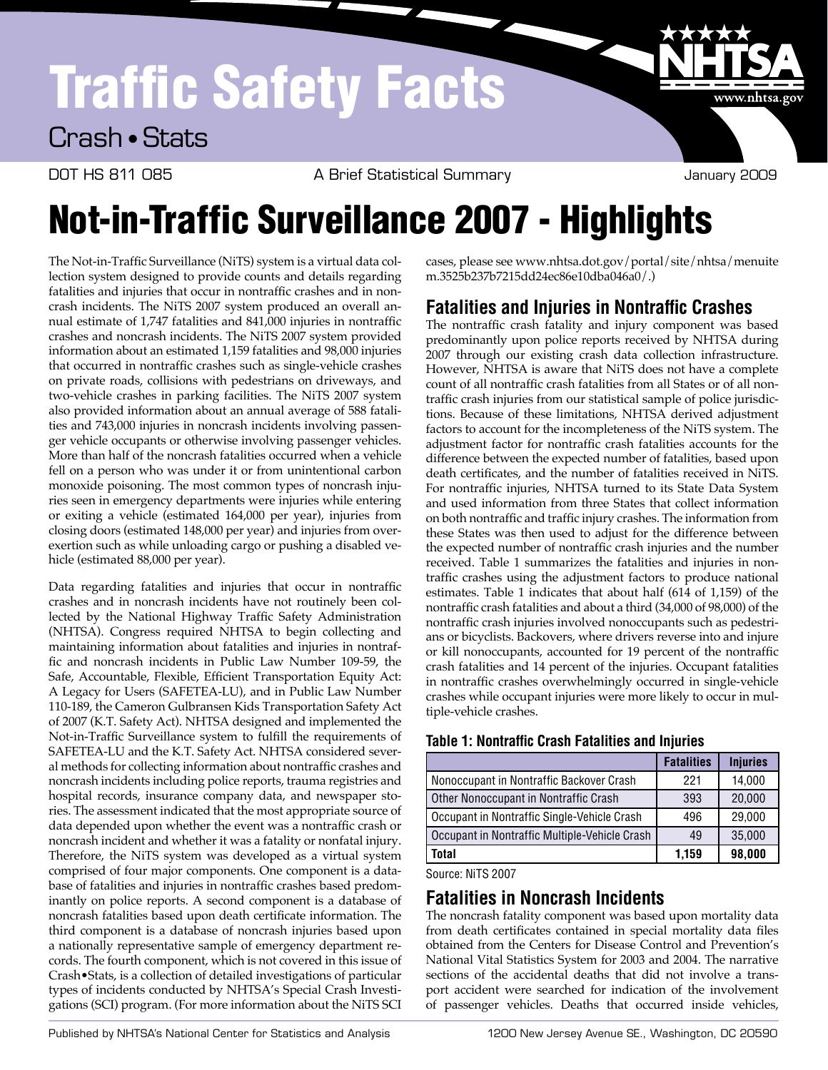# Traffic Safety Facts



DOT HS 811 085 A Brief Statistical Summary COOS January 2009

www.nhtsa.gov

## Not-in-Traffic Surveillance 2007 - Highlights

 The Not-in-Traffic Surveillance (NiTS) system is a virtual data col- lection system designed to provide counts and details regarding fatalities and injuries that occur in nontraffic crashes and in non- crash incidents. The NiTS 2007 system produced an overall an- nual estimate of 1,747 fatalities and 841,000 injuries in nontraffic crashes and noncrash incidents. The NiTS 2007 system provided information about an estimated 1,159 fatalities and 98,000 injuries that occurred in nontraffic crashes such as single-vehicle crashes on private roads, collisions with pedestrians on driveways, and two-vehicle crashes in parking facilities. The NiTS 2007 system also provided information about an annual average of 588 fatali- ties and 743,000 injuries in noncrash incidents involving passen- ger vehicle occupants or otherwise involving passenger vehicles. More than half of the noncrash fatalities occurred when a vehicle fell on a person who was under it or from unintentional carbon monoxide poisoning. The most common types of noncrash inju- ries seen in emergency departments were injuries while entering or exiting a vehicle (estimated 164,000 per year), injuries from closing doors (estimated 148,000 per year) and injuries from over- exertion such as while unloading cargo or pushing a disabled ve-hicle (estimated 88,000 per year).

 Data regarding fatalities and injuries that occur in nontraffic crashes and in noncrash incidents have not routinely been col- lected by the National Highway Traffic Safety Administration (NHTSA). Congress required NHTSA to begin collecting and maintaining information about fatalities and injuries in nontraf- fic and noncrash incidents in Public Law Number 109-59, the Safe, Accountable, Flexible, Efficient Transportation Equity Act: A Legacy for Users (SAFETEA-LU), and in Public Law Number 110-189, the Cameron Gulbransen Kids Transportation Safety Act of 2007 (K.T. Safety Act). NHTSA designed and implemented the Not-in-Traffic Surveillance system to fulfill the requirements of SAFETEA-LU and the K.T. Safety Act. NHTSA considered sever- al methods for collecting information about nontraffic crashes and noncrash incidents including police reports, trauma registries and hospital records, insurance company data, and newspaper sto- ries. The assessment indicated that the most appropriate source of data depended upon whether the event was a nontraffic crash or noncrash incident and whether it was a fatality or nonfatal injury. Therefore, the NiTS system was developed as a virtual system comprised of four major components. One component is a data- base of fatalities and injuries in nontraffic crashes based predom- inantly on police reports. A second component is a database of noncrash fatalities based upon death certificate information. The third component is a database of noncrash injuries based upon a nationally representative sample of emergency department re- cords. The fourth component, which is not covered in this issue of Crash•Stats, is a collection of detailed investigations of particular types of incidents conducted by NHTSA's Special Crash Investi-gations (SCI) program. (For more information about the NiTS SCI

 cases, please see www.nhtsa.dot.gov/portal/site/nhtsa/menuite m.3525b237b7215dd24ec86e10dba046a0/.)

#### **Fatalities and Injuries in Nontraffic Crashes**

 The nontraffic crash fatality and injury component was based predominantly upon police reports received by NHTSA during 2007 through our existing crash data collection infrastructure. However, NHTSA is aware that NiTS does not have a complete count of all nontraffic crash fatalities from all States or of all non- traffic crash injuries from our statistical sample of police jurisdic- tions. Because of these limitations, NHTSA derived adjustment factors to account for the incompleteness of the NiTS system. The adjustment factor for nontraffic crash fatalities accounts for the death certificates, and the number of fatalities received in NiTS. For nontraffic injuries, NHTSA turned to its State Data System and used information from three States that collect information on both nontraffic and traffic injury crashes. The information from these States was then used to adjust for the difference between the expected number of nontraffic crash injuries and the number received. Table 1 summarizes the fatalities and injuries in non- traffic crashes using the adjustment factors to produce national estimates. Table 1 indicates that about half (614 of 1,159) of the nontraffic crash fatalities and about a third (34,000 of 98,000) of the nontraffic crash injuries involved nonoccupants such as pedestri- ans or bicyclists. Backovers, where drivers reverse into and injure or kill nonoccupants, accounted for 19 percent of the nontraffic crash fatalities and 14 percent of the injuries. Occupant fatalities in nontraffic crashes overwhelmingly occurred in single-vehicle crashes while occupant injuries were more likely to occur in mul- tiple-vehicle crashes. difference between the expected number of fatalities, based upon

|                                               | <b>Fatalities</b> | <b>Injuries</b> |
|-----------------------------------------------|-------------------|-----------------|
| Nonoccupant in Nontraffic Backover Crash      | 221               | 14,000          |
| Other Nonoccupant in Nontraffic Crash         | 393               | 20,000          |
| Occupant in Nontraffic Single-Vehicle Crash   | 496               | 29,000          |
| Occupant in Nontraffic Multiple-Vehicle Crash | 49                | 35,000          |
| <b>Total</b>                                  | 1,159             | 98,000          |

**Table 1: Nontraffic Crash Fatalities and Injuries** 

Source: NiTS 2007

### **Fatalities in Noncrash Incidents**

The noncrash fatality component was based upon mortality data from death certificates contained in special mortality data files obtained from the Centers for Disease Control and Prevention's National Vital Statistics System for 2003 and 2004. The narrative sections of the accidental deaths that did not involve a transport accident were searched for indication of the involvement of passenger vehicles. Deaths that occurred inside vehicles,